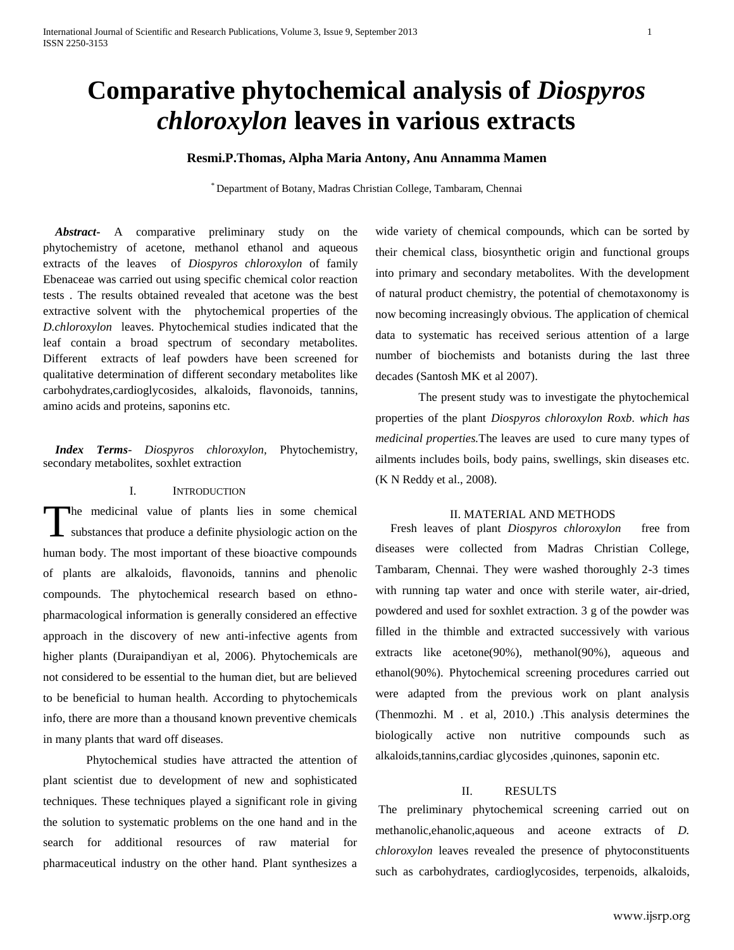# **Comparative phytochemical analysis of** *Diospyros chloroxylon* **leaves in various extracts**

### **Resmi.P.Thomas, Alpha Maria Antony, Anu Annamma Mamen**

\* Department of Botany, Madras Christian College, Tambaram, Chennai

 *Abstract***-** A comparative preliminary study on the phytochemistry of acetone, methanol ethanol and aqueous extracts of the leaves of *Diospyros chloroxylon* of family Ebenaceae was carried out using specific chemical color reaction tests . The results obtained revealed that acetone was the best extractive solvent with the phytochemical properties of the *D.chloroxylon* leaves. Phytochemical studies indicated that the leaf contain a broad spectrum of secondary metabolites. Different extracts of leaf powders have been screened for qualitative determination of different secondary metabolites like carbohydrates,cardioglycosides, alkaloids, flavonoids, tannins, amino acids and proteins, saponins etc.

 *Index Terms*- *Diospyros chloroxylon,* Phytochemistry, secondary metabolites, soxhlet extraction

#### I. INTRODUCTION

he medicinal value of plants lies in some chemical The medicinal value of plants lies in some chemical substances that produce a definite physiologic action on the human body. The most important of these bioactive compounds of plants are alkaloids, flavonoids, tannins and phenolic compounds. The phytochemical research based on ethnopharmacological information is generally considered an effective approach in the discovery of new anti-infective agents from higher plants (Duraipandiyan et al, 2006). Phytochemicals are not considered to be essential to the human diet, but are believed to be beneficial to human health. According to phytochemicals info, there are more than a thousand known preventive chemicals in many plants that ward off diseases.

Phytochemical studies have attracted the attention of plant scientist due to development of new and sophisticated techniques. These techniques played a significant role in giving the solution to systematic problems on the one hand and in the search for additional resources of raw material for pharmaceutical industry on the other hand. Plant synthesizes a

wide variety of chemical compounds, which can be sorted by their chemical class, biosynthetic origin and functional groups into primary and secondary metabolites. With the development of natural product chemistry, the potential of chemotaxonomy is now becoming increasingly obvious. The application of chemical data to systematic has received serious attention of a large number of biochemists and botanists during the last three decades (Santosh MK et al 2007).

The present study was to investigate the phytochemical properties of the plant *Diospyros chloroxylon Roxb. which has medicinal properties.*The leaves are used to cure many types of ailments includes boils, body pains, swellings, skin diseases etc. (K N Reddy et al., 2008).

#### II. MATERIAL AND METHODS

 Fresh leaves of plant *Diospyros chloroxylon* free from diseases were collected from Madras Christian College, Tambaram, Chennai. They were washed thoroughly 2-3 times with running tap water and once with sterile water, air-dried, powdered and used for soxhlet extraction. 3 g of the powder was filled in the thimble and extracted successively with various extracts like acetone(90%), methanol(90%), aqueous and ethanol(90%). Phytochemical screening procedures carried out were adapted from the previous work on plant analysis (Thenmozhi. M . et al, 2010.) .This analysis determines the biologically active non nutritive compounds such as alkaloids,tannins,cardiac glycosides ,quinones, saponin etc.

#### II. RESULTS

The preliminary phytochemical screening carried out on methanolic,ehanolic,aqueous and aceone extracts of *D. chloroxylon* leaves revealed the presence of phytoconstituents such as carbohydrates, cardioglycosides, terpenoids, alkaloids,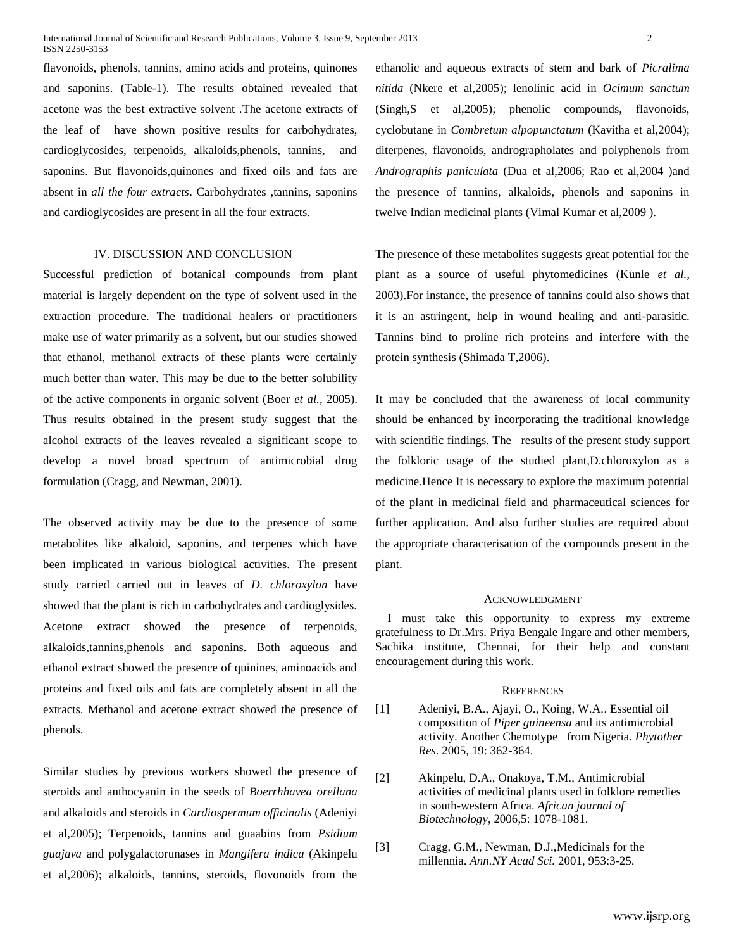flavonoids, phenols, tannins, amino acids and proteins, quinones and saponins. (Table-1). The results obtained revealed that acetone was the best extractive solvent .The acetone extracts of the leaf of have shown positive results for carbohydrates, cardioglycosides, terpenoids, alkaloids,phenols, tannins, and saponins. But flavonoids,quinones and fixed oils and fats are absent in *all the four extracts*. Carbohydrates ,tannins, saponins and cardioglycosides are present in all the four extracts.

#### IV. DISCUSSION AND CONCLUSION

Successful prediction of botanical compounds from plant material is largely dependent on the type of solvent used in the extraction procedure. The traditional healers or practitioners make use of water primarily as a solvent, but our studies showed that ethanol, methanol extracts of these plants were certainly much better than water. This may be due to the better solubility of the active components in organic solvent (Boer *et al.,* 2005). Thus results obtained in the present study suggest that the alcohol extracts of the leaves revealed a significant scope to develop a novel broad spectrum of antimicrobial drug formulation (Cragg, and Newman, 2001).

The observed activity may be due to the presence of some metabolites like alkaloid, saponins, and terpenes which have been implicated in various biological activities. The present study carried carried out in leaves of *D. chloroxylon* have showed that the plant is rich in carbohydrates and cardioglysides. Acetone extract showed the presence of terpenoids, alkaloids,tannins,phenols and saponins. Both aqueous and ethanol extract showed the presence of quinines, aminoacids and proteins and fixed oils and fats are completely absent in all the extracts. Methanol and acetone extract showed the presence of phenols.

Similar studies by previous workers showed the presence of steroids and anthocyanin in the seeds of *Boerrhhavea orellana*  and alkaloids and steroids in *Cardiospermum officinalis* (Adeniyi et al,2005); Terpenoids, tannins and guaabins from *Psidium guajava* and polygalactorunases in *Mangifera indica* (Akinpelu et al,2006); alkaloids, tannins, steroids, flovonoids from the

ethanolic and aqueous extracts of stem and bark of *Picralima nitida* (Nkere et al,2005); lenolinic acid in *Ocimum sanctum*  (Singh,S et al,2005); phenolic compounds, flavonoids, cyclobutane in *Combretum alpopunctatum* (Kavitha et al,2004); diterpenes, flavonoids, andrographolates and polyphenols from *Andrographis paniculata* (Dua et al,2006; Rao et al,2004 )and the presence of tannins, alkaloids, phenols and saponins in twelve Indian medicinal plants (Vimal Kumar et al,2009 ).

The presence of these metabolites suggests great potential for the plant as a source of useful phytomedicines (Kunle *et al.,*  2003).For instance, the presence of tannins could also shows that it is an astringent, help in wound healing and anti-parasitic. Tannins bind to proline rich proteins and interfere with the protein synthesis (Shimada T,2006).

It may be concluded that the awareness of local community should be enhanced by incorporating the traditional knowledge with scientific findings. The results of the present study support the folkloric usage of the studied plant,D.chloroxylon as a medicine.Hence It is necessary to explore the maximum potential of the plant in medicinal field and pharmaceutical sciences for further application. And also further studies are required about the appropriate characterisation of the compounds present in the plant.

#### ACKNOWLEDGMENT

I must take this opportunity to express my extreme gratefulness to Dr.Mrs. Priya Bengale Ingare and other members, Sachika institute, Chennai, for their help and constant encouragement during this work.

#### **REFERENCES**

- [1] Adeniyi, B.A., Ajayi, O., Koing, W.A.. Essential oil composition of *Piper guineensa* and its antimicrobial activity. Another Chemotype from Nigeria. *Phytother Res*. 2005, 19: 362-364.
- [2] Akinpelu, D.A., Onakoya, T.M., Antimicrobial activities of medicinal plants used in folklore remedies in south-western Africa. *African journal of Biotechnology*, 2006,5: 1078-1081.
- [3] Cragg, G.M., Newman, D.J.,Medicinals for the millennia. *Ann.NY Acad Sci.* 2001, 953:3-25.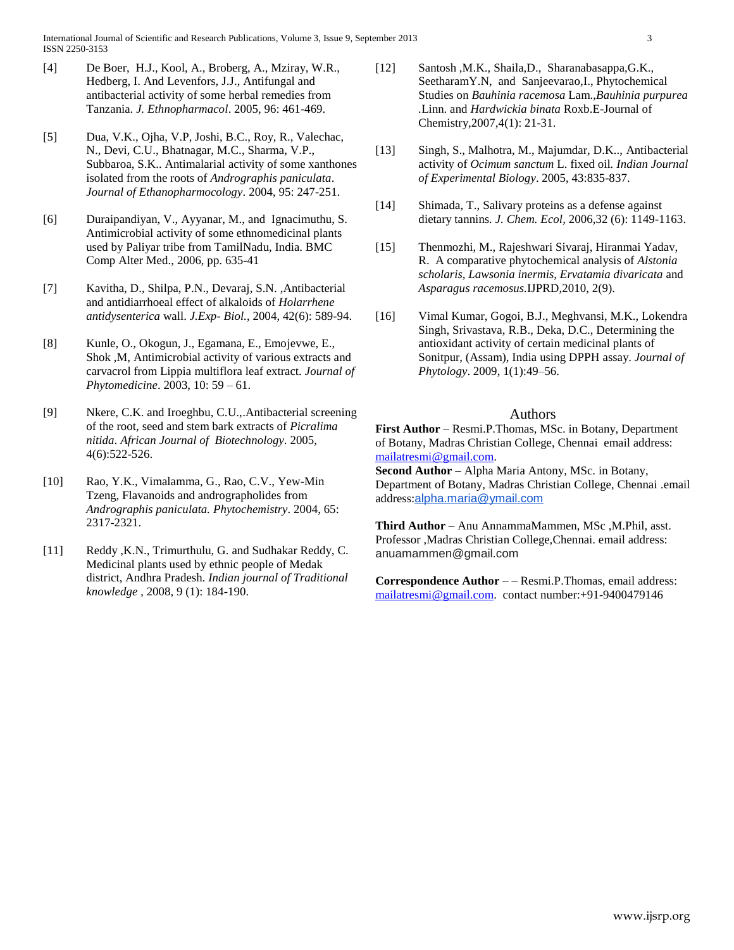- [4] De Boer, H.J., Kool, A., Broberg, A., Mziray, W.R., Hedberg, I. And Levenfors, J.J., Antifungal and antibacterial activity of some herbal remedies from Tanzania. *J. Ethnopharmacol*. 2005, 96: 461-469.
- [5] Dua, V.K., Ojha, V.P, Joshi, B.C., Roy, R., Valechac, N., Devi, C.U., Bhatnagar, M.C., Sharma, V.P., Subbaroa, S.K.. Antimalarial activity of some xanthones isolated from the roots of *Andrographis paniculata*. *Journal of Ethanopharmocology*. 2004, 95: 247-251.
- [6] Duraipandiyan, V., Ayyanar, M., and Ignacimuthu, S. Antimicrobial activity of some ethnomedicinal plants used by Paliyar tribe from TamilNadu, India. BMC Comp Alter Med., 2006, pp. 635-41
- [7] Kavitha, D., Shilpa, P.N., Devaraj, S.N. ,Antibacterial and antidiarrhoeal effect of alkaloids of *Holarrhene antidysenterica* wall. *J.Exp- Biol.*, 2004, 42(6): 589-94.
- [8] Kunle, O., Okogun, J., Egamana, E., Emojevwe, E., Shok ,M, Antimicrobial activity of various extracts and carvacrol from Lippia multiflora leaf extract. *Journal of Phytomedicine*. 2003, 10: 59 – 61.
- [9] Nkere, C.K. and Iroeghbu, C.U.,.Antibacterial screening of the root, seed and stem bark extracts of *Picralima nitida*. *African Journal of Biotechnology*. 2005, 4(6):522-526.
- [10] Rao, Y.K., Vimalamma, G., Rao, C.V., Yew-Min Tzeng, Flavanoids and andrographolides from *Andrographis paniculata. Phytochemistry*. 2004, 65: 2317-2321.
- [11] Reddy, K.N., Trimurthulu, G. and Sudhakar Reddy, C. Medicinal plants used by ethnic people of Medak district, Andhra Pradesh. *Indian journal of Traditional knowledge* , 2008, 9 (1): 184-190.
- [12] Santosh ,M.K., Shaila,D., Sharanabasappa,G.K., SeetharamY.N, and Sanjeevarao,I., Phytochemical Studies on *Bauhinia racemosa* Lam.,*Bauhinia purpurea .*Linn. and *Hardwickia binata* Roxb.E-Journal of Chemistry,2007,4(1): 21-31.
- [13] Singh, S., Malhotra, M., Majumdar, D.K.., Antibacterial activity of *Ocimum sanctum* L. fixed oil*. Indian Journal of Experimental Biology*. 2005, 43:835-837.
- [14] Shimada, T., Salivary proteins as a defense against dietary tannins*. J. Chem. Ecol,* 2006,32 (6): 1149-1163.
- [15] Thenmozhi, M., Rajeshwari Sivaraj, Hiranmai Yadav, R. A comparative phytochemical analysis of *Alstonia scholaris, Lawsonia inermis, Ervatamia divaricata* and *Asparagus racemosus.*IJPRD,2010, 2(9).
- [16] Vimal Kumar, Gogoi, B.J., Meghvansi, M.K., Lokendra Singh, Srivastava, R.B., Deka, D.C., Determining the antioxidant activity of certain medicinal plants of Sonitpur, (Assam), India using DPPH assay. *Journal of Phytology*. 2009, 1(1):49–56.

#### Authors

**First Author** – Resmi.P.Thomas, MSc. in Botany, Department of Botany, Madras Christian College, Chennai email address: [mailatresmi@gmail.com.](mailto:mailatresmi@gmail.com)

**Second Author** – Alpha Maria Antony, MSc. in Botany, Department of Botany, Madras Christian College, Chennai .email address:[alpha.maria@ymail.com](mailto:alpha.maria@ymail.com)

**Third Author** – Anu AnnammaMammen, MSc ,M.Phil, asst. Professor ,Madras Christian College,Chennai. email address: anuamammen@gmail.com

**Correspondence Author** – – Resmi.P.Thomas, email address: [mailatresmi@gmail.com.](mailto:mailatresmi@gmail.com) contact number:+91-9400479146